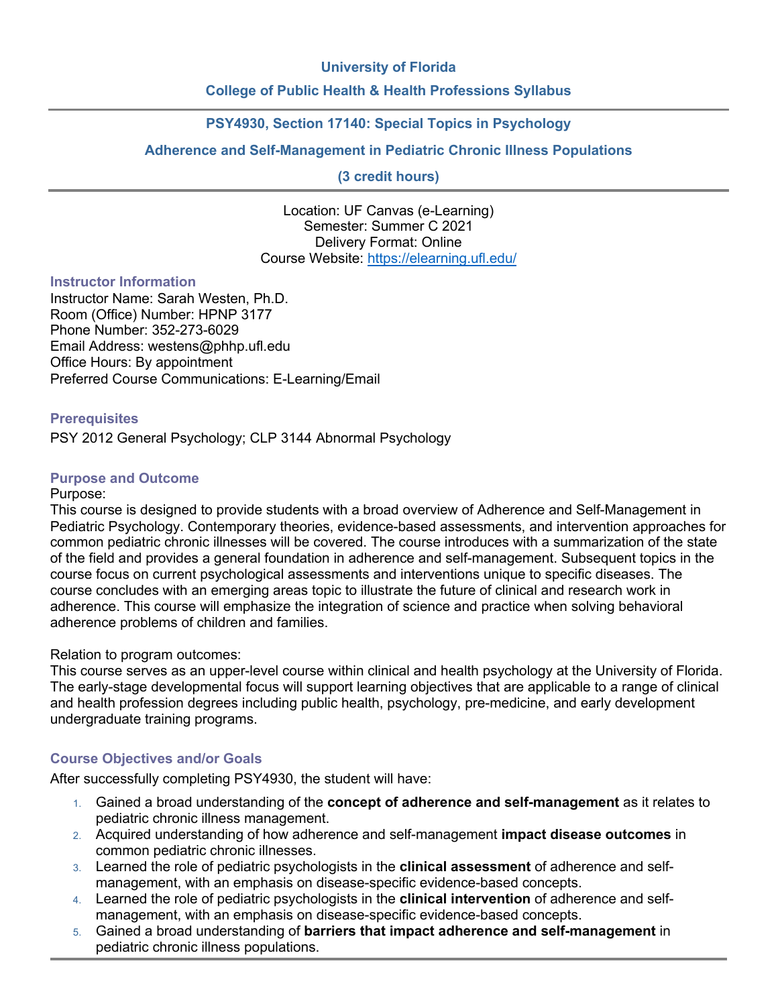### **University of Florida**

#### **College of Public Health & Health Professions Syllabus**

### **PSY4930, Section 17140: Special Topics in Psychology**

### **Adherence and Self-Management in Pediatric Chronic Illness Populations**

**(3 credit hours)**

Location: UF Canvas (e-Learning) Semester: Summer C 2021 Delivery Format: Online Course Website: https://elearning.ufl.edu/

#### **Instructor Information**

Instructor Name: Sarah Westen, Ph.D. Room (Office) Number: HPNP 3177 Phone Number: 352-273-6029 Email Address: westens@phhp.ufl.edu Office Hours: By appointment Preferred Course Communications: E-Learning/Email

#### **Prerequisites**

PSY 2012 General Psychology; CLP 3144 Abnormal Psychology

#### **Purpose and Outcome**

#### Purpose:

This course is designed to provide students with a broad overview of Adherence and Self-Management in Pediatric Psychology. Contemporary theories, evidence-based assessments, and intervention approaches for common pediatric chronic illnesses will be covered. The course introduces with a summarization of the state of the field and provides a general foundation in adherence and self-management. Subsequent topics in the course focus on current psychological assessments and interventions unique to specific diseases. The course concludes with an emerging areas topic to illustrate the future of clinical and research work in adherence. This course will emphasize the integration of science and practice when solving behavioral adherence problems of children and families.

#### Relation to program outcomes:

This course serves as an upper-level course within clinical and health psychology at the University of Florida. The early-stage developmental focus will support learning objectives that are applicable to a range of clinical and health profession degrees including public health, psychology, pre-medicine, and early development undergraduate training programs.

#### **Course Objectives and/or Goals**

After successfully completing PSY4930, the student will have:

- 1. Gained a broad understanding of the **concept of adherence and self-management** as it relates to pediatric chronic illness management.
- 2. Acquired understanding of how adherence and self-management **impact disease outcomes** in common pediatric chronic illnesses.
- 3. Learned the role of pediatric psychologists in the **clinical assessment** of adherence and selfmanagement, with an emphasis on disease-specific evidence-based concepts.
- 4. Learned the role of pediatric psychologists in the **clinical intervention** of adherence and selfmanagement, with an emphasis on disease-specific evidence-based concepts.
- 5. Gained a broad understanding of **barriers that impact adherence and self-management** in pediatric chronic illness populations.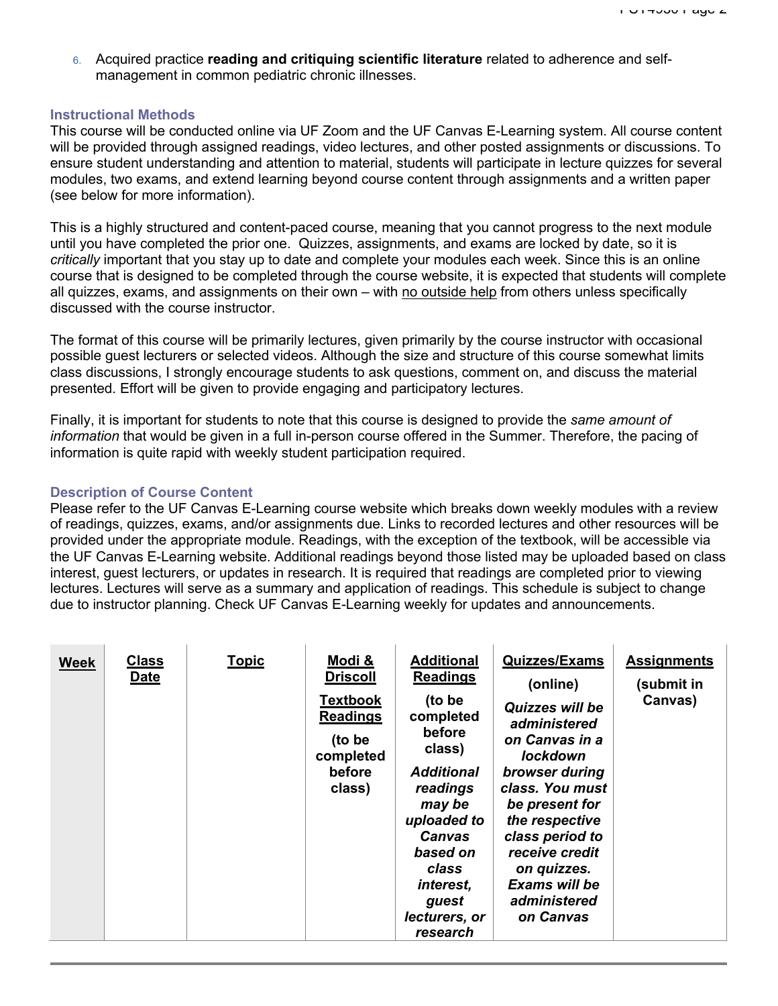6. Acquired practice **reading and critiquing scientific literature** related to adherence and selfmanagement in common pediatric chronic illnesses.

#### **Instructional Methods**

This course will be conducted online via UF Zoom and the UF Canvas E-Learning system. All course content will be provided through assigned readings, video lectures, and other posted assignments or discussions. To ensure student understanding and attention to material, students will participate in lecture quizzes for several modules, two exams, and extend learning beyond course content through assignments and a written paper (see below for more information).

This is a highly structured and content-paced course, meaning that you cannot progress to the next module until you have completed the prior one. Quizzes, assignments, and exams are locked by date, so it is *critically* important that you stay up to date and complete your modules each week. Since this is an online course that is designed to be completed through the course website, it is expected that students will complete all quizzes, exams, and assignments on their own – with no outside help from others unless specifically discussed with the course instructor.

The format of this course will be primarily lectures, given primarily by the course instructor with occasional possible guest lecturers or selected videos. Although the size and structure of this course somewhat limits class discussions, I strongly encourage students to ask questions, comment on, and discuss the material presented. Effort will be given to provide engaging and participatory lectures.

Finally, it is important for students to note that this course is designed to provide the *same amount of information* that would be given in a full in-person course offered in the Summer. Therefore, the pacing of information is quite rapid with weekly student participation required.

### **Description of Course Content**

Please refer to the UF Canvas E-Learning course website which breaks down weekly modules with a review of readings, quizzes, exams, and/or assignments due. Links to recorded lectures and other resources will be provided under the appropriate module. Readings, with the exception of the textbook, will be accessible via the UF Canvas E-Learning website. Additional readings beyond those listed may be uploaded based on class interest, guest lecturers, or updates in research. It is required that readings are completed prior to viewing lectures. Lectures will serve as a summary and application of readings. This schedule is subject to change due to instructor planning. Check UF Canvas E-Learning weekly for updates and announcements.

| <b>Week</b> | <b>Class</b><br><b>Date</b> | <b>Topic</b> | Modi &<br><b>Driscoll</b><br>Textbook<br><b>Readings</b><br>(to be<br>completed<br>before<br>class) | <b>Additional</b><br><b>Readings</b><br>(to be<br>completed<br>before<br>class)<br><b>Additional</b><br>readings<br>may be<br>uploaded to<br><b>Canvas</b><br>based on<br>class<br>interest,<br>guest<br>lecturers, or<br>research | Quizzes/Exams<br>(online)<br><b>Quizzes will be</b><br>administered<br>on Canvas in a<br>lockdown<br>browser during<br>class. You must<br>be present for<br>the respective<br>class period to<br>receive credit<br>on quizzes.<br>Exams will be<br>administered<br>on Canvas | <b>Assignments</b><br>(submit in<br>Canvas) |
|-------------|-----------------------------|--------------|-----------------------------------------------------------------------------------------------------|------------------------------------------------------------------------------------------------------------------------------------------------------------------------------------------------------------------------------------|------------------------------------------------------------------------------------------------------------------------------------------------------------------------------------------------------------------------------------------------------------------------------|---------------------------------------------|
|-------------|-----------------------------|--------------|-----------------------------------------------------------------------------------------------------|------------------------------------------------------------------------------------------------------------------------------------------------------------------------------------------------------------------------------------|------------------------------------------------------------------------------------------------------------------------------------------------------------------------------------------------------------------------------------------------------------------------------|---------------------------------------------|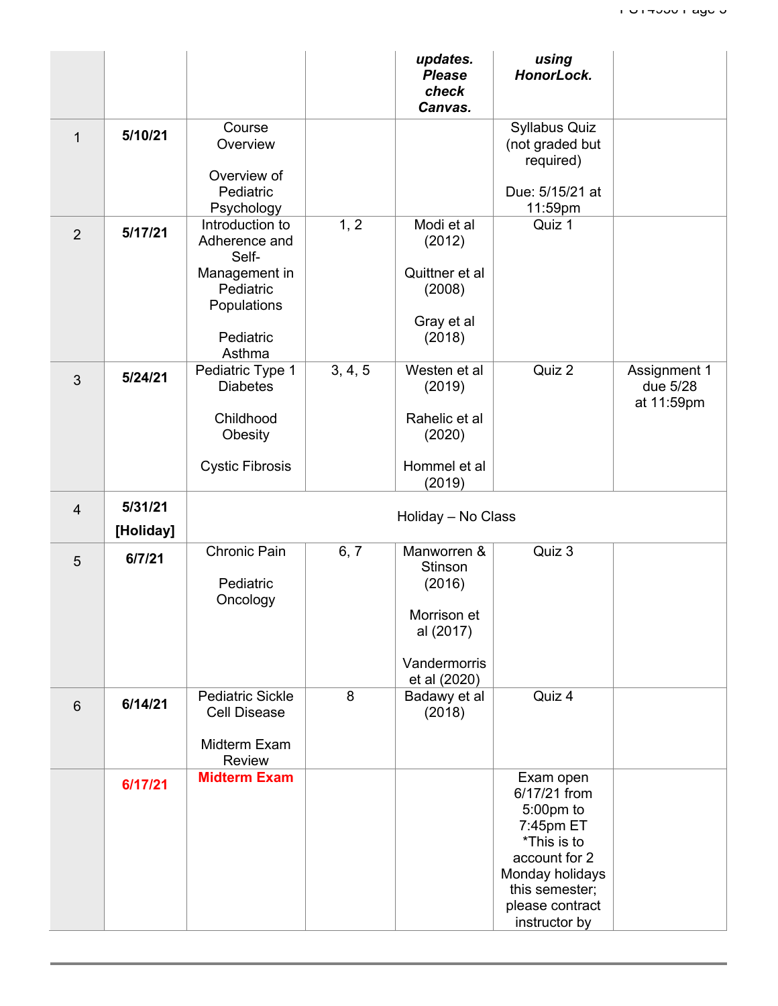|                 |                      |                                                                         |      | updates.<br><b>Please</b><br>check<br>Canvas.                                | using<br>HonorLock.                                                                                                                                          |                                        |
|-----------------|----------------------|-------------------------------------------------------------------------|------|------------------------------------------------------------------------------|--------------------------------------------------------------------------------------------------------------------------------------------------------------|----------------------------------------|
| $\overline{1}$  | 5/10/21              | Course<br>Overview                                                      |      |                                                                              | Syllabus Quiz<br>(not graded but<br>required)                                                                                                                |                                        |
|                 |                      | Overview of<br>Pediatric<br>Psychology                                  |      |                                                                              | Due: 5/15/21 at<br>11:59pm                                                                                                                                   |                                        |
| $\overline{2}$  | 5/17/21              | Introduction to<br>Adherence and<br>Self-<br>Management in<br>Pediatric | 1, 2 | Modi et al<br>(2012)<br>Quittner et al<br>(2008)                             | Quiz 1                                                                                                                                                       |                                        |
|                 |                      | Populations<br>Pediatric<br>Asthma                                      |      | Gray et al<br>(2018)                                                         |                                                                                                                                                              |                                        |
| $\overline{3}$  | 5/24/21              | 3, 4, 5<br>Pediatric Type 1<br><b>Diabetes</b><br>Childhood<br>Obesity  |      | Westen et al<br>(2019)<br>Rahelic et al                                      | Quiz 2                                                                                                                                                       | Assignment 1<br>due 5/28<br>at 11:59pm |
|                 |                      |                                                                         |      | (2020)                                                                       |                                                                                                                                                              |                                        |
|                 |                      | <b>Cystic Fibrosis</b>                                                  |      | Hommel et al<br>(2019)                                                       |                                                                                                                                                              |                                        |
| $\overline{4}$  | 5/31/21<br>[Holiday] |                                                                         |      | Holiday - No Class                                                           |                                                                                                                                                              |                                        |
| 5               | 6/7/21               | Chronic Pain<br>Pediatric<br>Oncology                                   | 6, 7 | Manworren &<br>Stinson<br>(2016)<br>Morrison et<br>al (2017)<br>Vandermorris | Quiz 3                                                                                                                                                       |                                        |
| $6\phantom{1}6$ | 6/14/21              | <b>Pediatric Sickle</b><br><b>Cell Disease</b><br>Midterm Exam          | 8    | et al (2020)<br>Badawy et al<br>(2018)                                       | Quiz 4                                                                                                                                                       |                                        |
|                 |                      | Review                                                                  |      |                                                                              |                                                                                                                                                              |                                        |
|                 | 6/17/21              | <b>Midterm Exam</b>                                                     |      |                                                                              | Exam open<br>6/17/21 from<br>5:00pm to<br>7:45pm ET<br>*This is to<br>account for 2<br>Monday holidays<br>this semester;<br>please contract<br>instructor by |                                        |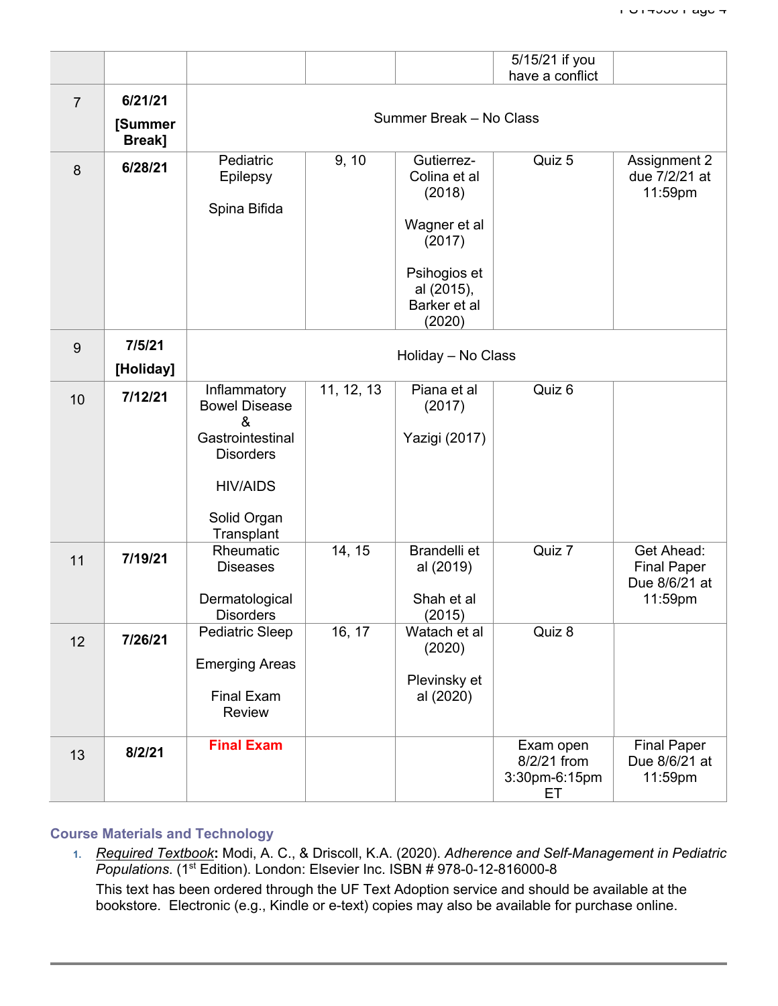|                |                                     |                                                                                      |            | 5/15/21 if you                                                                                                         |                                                 |                                                                     |  |  |  |  |
|----------------|-------------------------------------|--------------------------------------------------------------------------------------|------------|------------------------------------------------------------------------------------------------------------------------|-------------------------------------------------|---------------------------------------------------------------------|--|--|--|--|
|                |                                     |                                                                                      |            |                                                                                                                        | have a conflict                                 |                                                                     |  |  |  |  |
| $\overline{7}$ | 6/21/21<br>[Summer<br><b>Break]</b> |                                                                                      |            | Summer Break - No Class                                                                                                |                                                 |                                                                     |  |  |  |  |
| 8              | 6/28/21                             | 9, 10<br>Pediatric<br>Epilepsy<br>Spina Bifida                                       |            | Gutierrez-<br>Colina et al<br>(2018)<br>Wagner et al<br>(2017)<br>Psihogios et<br>al (2015),<br>Barker et al<br>(2020) | Quiz 5                                          | <b>Assignment 2</b><br>due 7/2/21 at<br>11:59pm                     |  |  |  |  |
| 9              | 7/5/21<br>[Holiday]                 |                                                                                      |            | Holiday - No Class                                                                                                     |                                                 |                                                                     |  |  |  |  |
| 10             | 7/12/21                             | Inflammatory<br><b>Bowel Disease</b><br>&                                            | 11, 12, 13 | Piana et al<br>(2017)                                                                                                  | Quiz $6$                                        |                                                                     |  |  |  |  |
|                |                                     | Gastrointestinal<br><b>Disorders</b><br><b>HIV/AIDS</b><br>Solid Organ<br>Transplant |            | Yazigi (2017)                                                                                                          |                                                 |                                                                     |  |  |  |  |
| 11             | 7/19/21                             | Rheumatic<br><b>Diseases</b><br>Dermatological<br><b>Disorders</b>                   | 14, 15     | <b>Brandelli et</b><br>al (2019)<br>Shah et al<br>(2015)                                                               | Quiz 7                                          | <b>Get Ahead:</b><br><b>Final Paper</b><br>Due 8/6/21 at<br>11:59pm |  |  |  |  |
| 12             | 7/26/21                             | <b>Pediatric Sleep</b><br><b>Emerging Areas</b><br><b>Final Exam</b><br>Review       | 16, 17     | Watach et al<br>(2020)<br>Plevinsky et<br>al (2020)                                                                    | Quiz 8                                          |                                                                     |  |  |  |  |
| 13             | 8/2/21                              | <b>Final Exam</b>                                                                    |            |                                                                                                                        | Exam open<br>8/2/21 from<br>3:30pm-6:15pm<br>ET | <b>Final Paper</b><br>Due 8/6/21 at<br>11:59pm                      |  |  |  |  |

## **Course Materials and Technology**

**1.** *Required Textbook***:** Modi, A. C., & Driscoll, K.A. (2020). *Adherence and Self-Management in Pediatric Populations*. (1st Edition). London: Elsevier Inc. ISBN # 978-0-12-816000-8

This text has been ordered through the UF Text Adoption service and should be available at the bookstore. Electronic (e.g., Kindle or e-text) copies may also be available for purchase online.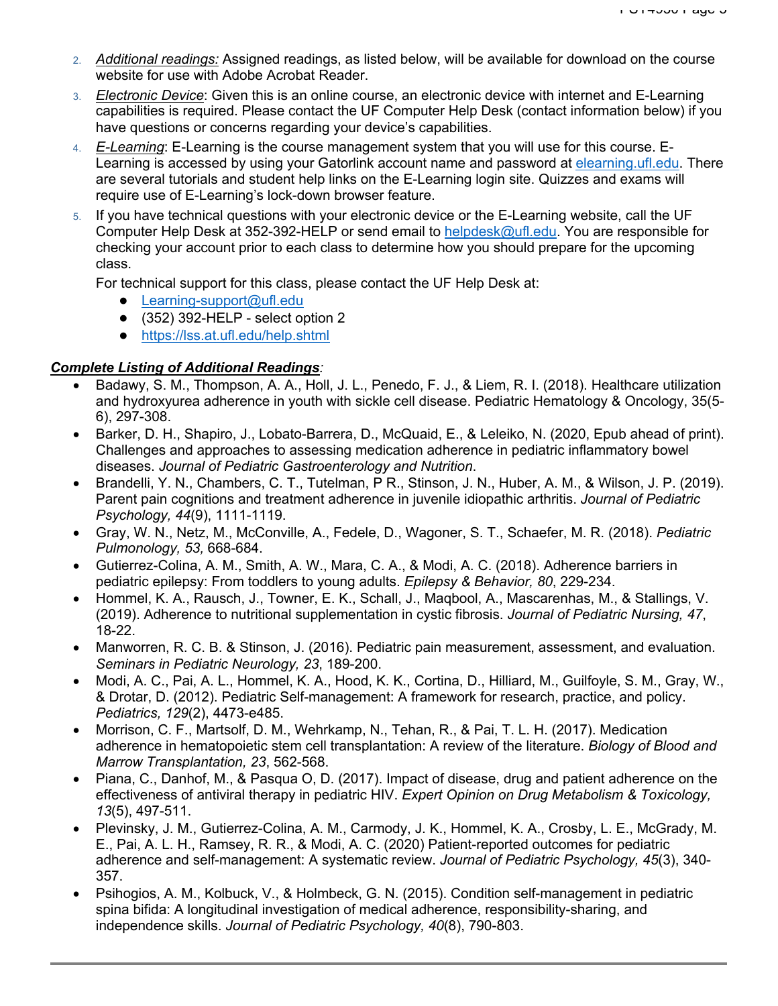- 2. *Additional readings:* Assigned readings, as listed below, will be available for download on the course website for use with Adobe Acrobat Reader.
- 3. *Electronic Device*: Given this is an online course, an electronic device with internet and E-Learning capabilities is required. Please contact the UF Computer Help Desk (contact information below) if you have questions or concerns regarding your device's capabilities.
- 4. *E-Learning*: E-Learning is the course management system that you will use for this course. E-Learning is accessed by using your Gatorlink account name and password at elearning.ufl.edu. There are several tutorials and student help links on the E-Learning login site. Quizzes and exams will require use of E-Learning's lock-down browser feature.
- 5. If you have technical questions with your electronic device or the E-Learning website, call the UF Computer Help Desk at 352-392-HELP or send email to helpdesk@ufl.edu. You are responsible for checking your account prior to each class to determine how you should prepare for the upcoming class.

For technical support for this class, please contact the UF Help Desk at:

- Learning-support@ufl.edu
- $\bullet$  (352) 392-HELP select option 2
- https://lss.at.ufl.edu/help.shtml

### *Complete Listing of Additional Readings:*

- Badawy, S. M., Thompson, A. A., Holl, J. L., Penedo, F. J., & Liem, R. I. (2018). Healthcare utilization and hydroxyurea adherence in youth with sickle cell disease. Pediatric Hematology & Oncology, 35(5- 6), 297-308.
- Barker, D. H., Shapiro, J., Lobato-Barrera, D., McQuaid, E., & Leleiko, N. (2020, Epub ahead of print). Challenges and approaches to assessing medication adherence in pediatric inflammatory bowel diseases. *Journal of Pediatric Gastroenterology and Nutrition*.
- Brandelli, Y. N., Chambers, C. T., Tutelman, P R., Stinson, J. N., Huber, A. M., & Wilson, J. P. (2019). Parent pain cognitions and treatment adherence in juvenile idiopathic arthritis. *Journal of Pediatric Psychology, 44*(9), 1111-1119.
- Gray, W. N., Netz, M., McConville, A., Fedele, D., Wagoner, S. T., Schaefer, M. R. (2018). *Pediatric Pulmonology, 53,* 668-684.
- Gutierrez-Colina, A. M., Smith, A. W., Mara, C. A., & Modi, A. C. (2018). Adherence barriers in pediatric epilepsy: From toddlers to young adults. *Epilepsy & Behavior, 80*, 229-234.
- Hommel, K. A., Rausch, J., Towner, E. K., Schall, J., Maqbool, A., Mascarenhas, M., & Stallings, V. (2019). Adherence to nutritional supplementation in cystic fibrosis. *Journal of Pediatric Nursing, 47*, 18-22.
- Manworren, R. C. B. & Stinson, J. (2016). Pediatric pain measurement, assessment, and evaluation. *Seminars in Pediatric Neurology, 23*, 189-200.
- Modi, A. C., Pai, A. L., Hommel, K. A., Hood, K. K., Cortina, D., Hilliard, M., Guilfoyle, S. M., Gray, W., & Drotar, D. (2012). Pediatric Self-management: A framework for research, practice, and policy. *Pediatrics, 129*(2), 4473-e485.
- Morrison, C. F., Martsolf, D. M., Wehrkamp, N., Tehan, R., & Pai, T. L. H. (2017). Medication adherence in hematopoietic stem cell transplantation: A review of the literature. *Biology of Blood and Marrow Transplantation, 23*, 562-568.
- Piana, C., Danhof, M., & Pasqua O, D. (2017). Impact of disease, drug and patient adherence on the effectiveness of antiviral therapy in pediatric HIV. *Expert Opinion on Drug Metabolism & Toxicology, 13*(5), 497-511.
- Plevinsky, J. M., Gutierrez-Colina, A. M., Carmody, J. K., Hommel, K. A., Crosby, L. E., McGrady, M. E., Pai, A. L. H., Ramsey, R. R., & Modi, A. C. (2020) Patient-reported outcomes for pediatric adherence and self-management: A systematic review. *Journal of Pediatric Psychology, 45*(3), 340- 357.
- Psihogios, A. M., Kolbuck, V., & Holmbeck, G. N. (2015). Condition self-management in pediatric spina bifida: A longitudinal investigation of medical adherence, responsibility-sharing, and independence skills. *Journal of Pediatric Psychology, 40*(8), 790-803.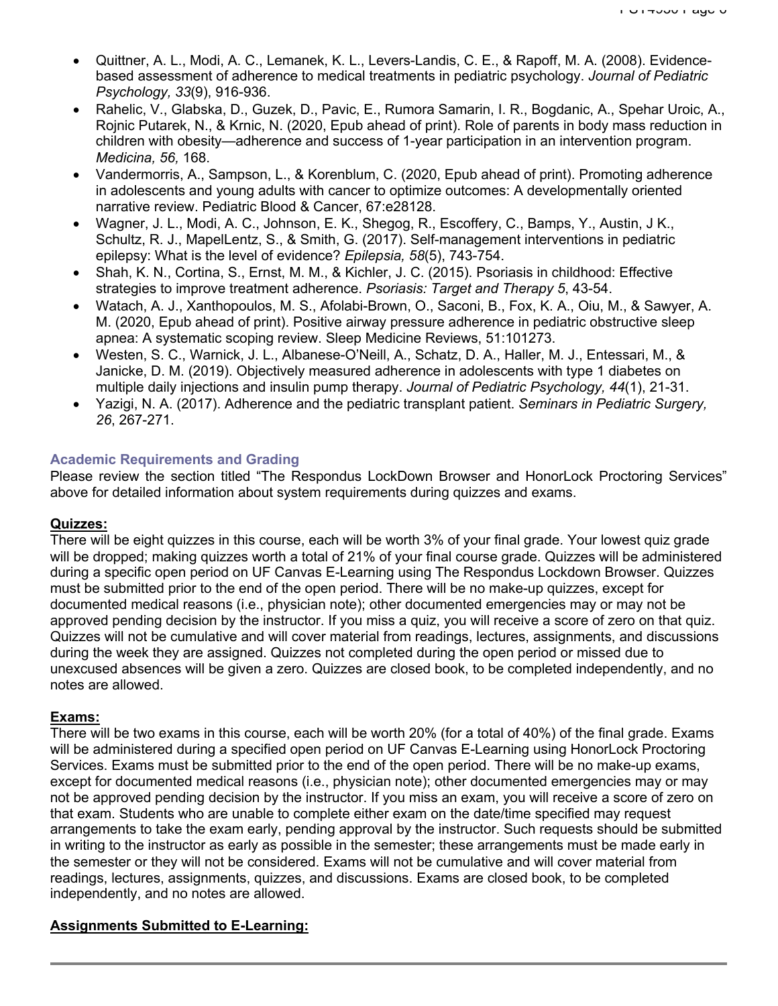- Quittner, A. L., Modi, A. C., Lemanek, K. L., Levers-Landis, C. E., & Rapoff, M. A. (2008). Evidencebased assessment of adherence to medical treatments in pediatric psychology. *Journal of Pediatric Psychology, 33*(9), 916-936.
- Rahelic, V., Glabska, D., Guzek, D., Pavic, E., Rumora Samarin, I. R., Bogdanic, A., Spehar Uroic, A., Rojnic Putarek, N., & Krnic, N. (2020, Epub ahead of print). Role of parents in body mass reduction in children with obesity—adherence and success of 1-year participation in an intervention program. *Medicina, 56,* 168.
- Vandermorris, A., Sampson, L., & Korenblum, C. (2020, Epub ahead of print). Promoting adherence in adolescents and young adults with cancer to optimize outcomes: A developmentally oriented narrative review. Pediatric Blood & Cancer, 67:e28128.
- Wagner, J. L., Modi, A. C., Johnson, E. K., Shegog, R., Escoffery, C., Bamps, Y., Austin, J K., Schultz, R. J., MapelLentz, S., & Smith, G. (2017). Self-management interventions in pediatric epilepsy: What is the level of evidence? *Epilepsia, 58*(5), 743-754.
- Shah, K. N., Cortina, S., Ernst, M. M., & Kichler, J. C. (2015). Psoriasis in childhood: Effective strategies to improve treatment adherence. *Psoriasis: Target and Therapy 5*, 43-54.
- Watach, A. J., Xanthopoulos, M. S., Afolabi-Brown, O., Saconi, B., Fox, K. A., Oiu, M., & Sawyer, A. M. (2020, Epub ahead of print). Positive airway pressure adherence in pediatric obstructive sleep apnea: A systematic scoping review. Sleep Medicine Reviews, 51:101273.
- Westen, S. C., Warnick, J. L., Albanese-O'Neill, A., Schatz, D. A., Haller, M. J., Entessari, M., & Janicke, D. M. (2019). Objectively measured adherence in adolescents with type 1 diabetes on multiple daily injections and insulin pump therapy. *Journal of Pediatric Psychology, 44*(1), 21-31.
- Yazigi, N. A. (2017). Adherence and the pediatric transplant patient. *Seminars in Pediatric Surgery, 26*, 267-271.

# **Academic Requirements and Grading**

Please review the section titled "The Respondus LockDown Browser and HonorLock Proctoring Services" above for detailed information about system requirements during quizzes and exams.

## **Quizzes:**

There will be eight quizzes in this course, each will be worth 3% of your final grade. Your lowest quiz grade will be dropped; making quizzes worth a total of 21% of your final course grade. Quizzes will be administered during a specific open period on UF Canvas E-Learning using The Respondus Lockdown Browser. Quizzes must be submitted prior to the end of the open period. There will be no make-up quizzes, except for documented medical reasons (i.e., physician note); other documented emergencies may or may not be approved pending decision by the instructor. If you miss a quiz, you will receive a score of zero on that quiz. Quizzes will not be cumulative and will cover material from readings, lectures, assignments, and discussions during the week they are assigned. Quizzes not completed during the open period or missed due to unexcused absences will be given a zero. Quizzes are closed book, to be completed independently, and no notes are allowed.

## **Exams:**

There will be two exams in this course, each will be worth 20% (for a total of 40%) of the final grade. Exams will be administered during a specified open period on UF Canvas E-Learning using HonorLock Proctoring Services. Exams must be submitted prior to the end of the open period. There will be no make-up exams, except for documented medical reasons (i.e., physician note); other documented emergencies may or may not be approved pending decision by the instructor. If you miss an exam, you will receive a score of zero on that exam. Students who are unable to complete either exam on the date/time specified may request arrangements to take the exam early, pending approval by the instructor. Such requests should be submitted in writing to the instructor as early as possible in the semester; these arrangements must be made early in the semester or they will not be considered. Exams will not be cumulative and will cover material from readings, lectures, assignments, quizzes, and discussions. Exams are closed book, to be completed independently, and no notes are allowed.

## **Assignments Submitted to E-Learning:**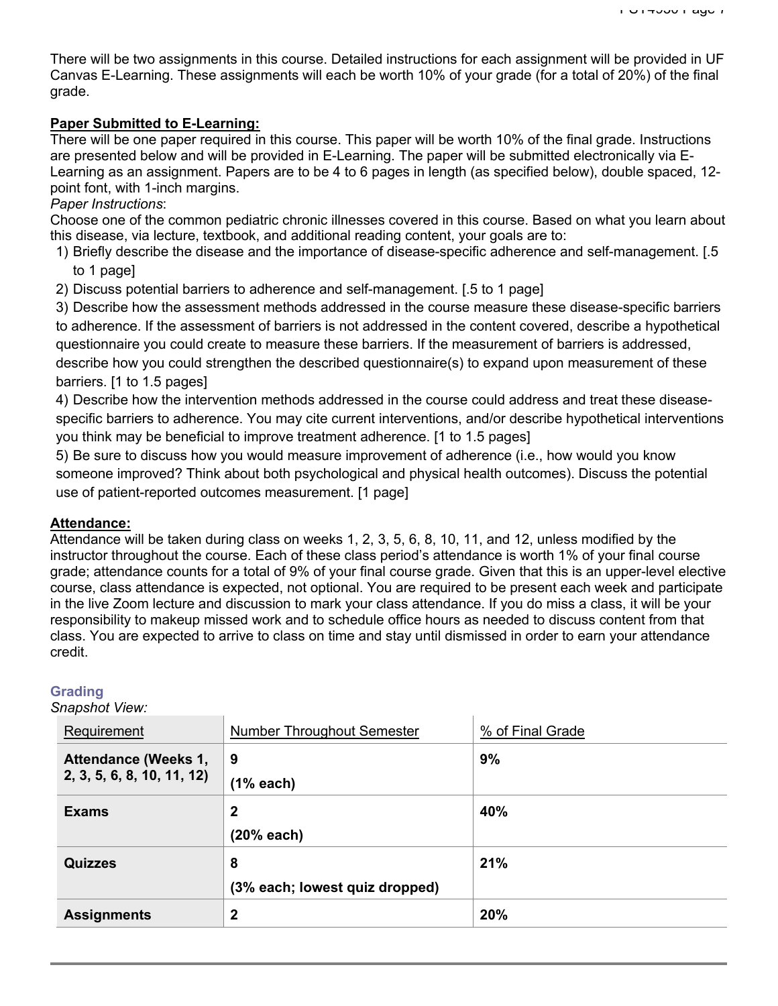There will be two assignments in this course. Detailed instructions for each assignment will be provided in UF Canvas E-Learning. These assignments will each be worth 10% of your grade (for a total of 20%) of the final grade.

## **Paper Submitted to E-Learning:**

There will be one paper required in this course. This paper will be worth 10% of the final grade. Instructions are presented below and will be provided in E-Learning. The paper will be submitted electronically via E-Learning as an assignment. Papers are to be 4 to 6 pages in length (as specified below), double spaced, 12 point font, with 1-inch margins.

### *Paper Instructions*:

Choose one of the common pediatric chronic illnesses covered in this course. Based on what you learn about this disease, via lecture, textbook, and additional reading content, your goals are to:

- 1) Briefly describe the disease and the importance of disease-specific adherence and self-management. [.5 to 1 page]
- 2) Discuss potential barriers to adherence and self-management. [.5 to 1 page]

3) Describe how the assessment methods addressed in the course measure these disease-specific barriers to adherence. If the assessment of barriers is not addressed in the content covered, describe a hypothetical questionnaire you could create to measure these barriers. If the measurement of barriers is addressed, describe how you could strengthen the described questionnaire(s) to expand upon measurement of these barriers. [1 to 1.5 pages]

4) Describe how the intervention methods addressed in the course could address and treat these diseasespecific barriers to adherence. You may cite current interventions, and/or describe hypothetical interventions you think may be beneficial to improve treatment adherence. [1 to 1.5 pages]

5) Be sure to discuss how you would measure improvement of adherence (i.e., how would you know someone improved? Think about both psychological and physical health outcomes). Discuss the potential use of patient-reported outcomes measurement. [1 page]

## **Attendance:**

Attendance will be taken during class on weeks 1, 2, 3, 5, 6, 8, 10, 11, and 12, unless modified by the instructor throughout the course. Each of these class period's attendance is worth 1% of your final course grade; attendance counts for a total of 9% of your final course grade. Given that this is an upper-level elective course, class attendance is expected, not optional. You are required to be present each week and participate in the live Zoom lecture and discussion to mark your class attendance. If you do miss a class, it will be your responsibility to makeup missed work and to schedule office hours as needed to discuss content from that class. You are expected to arrive to class on time and stay until dismissed in order to earn your attendance credit.

## **Grading**

*Snapshot View:*

| Requirement                                        | <b>Number Throughout Semester</b> | % of Final Grade |
|----------------------------------------------------|-----------------------------------|------------------|
| Attendance (Weeks 1,<br>2, 3, 5, 6, 8, 10, 11, 12) | 9<br>$(1%$ each)                  | 9%               |
| <b>Exams</b>                                       | 2                                 | 40%              |
|                                                    | (20% each)                        |                  |
| <b>Quizzes</b>                                     | 8                                 | 21%              |
|                                                    | (3% each; lowest quiz dropped)    |                  |
| <b>Assignments</b>                                 | 2                                 | 20%              |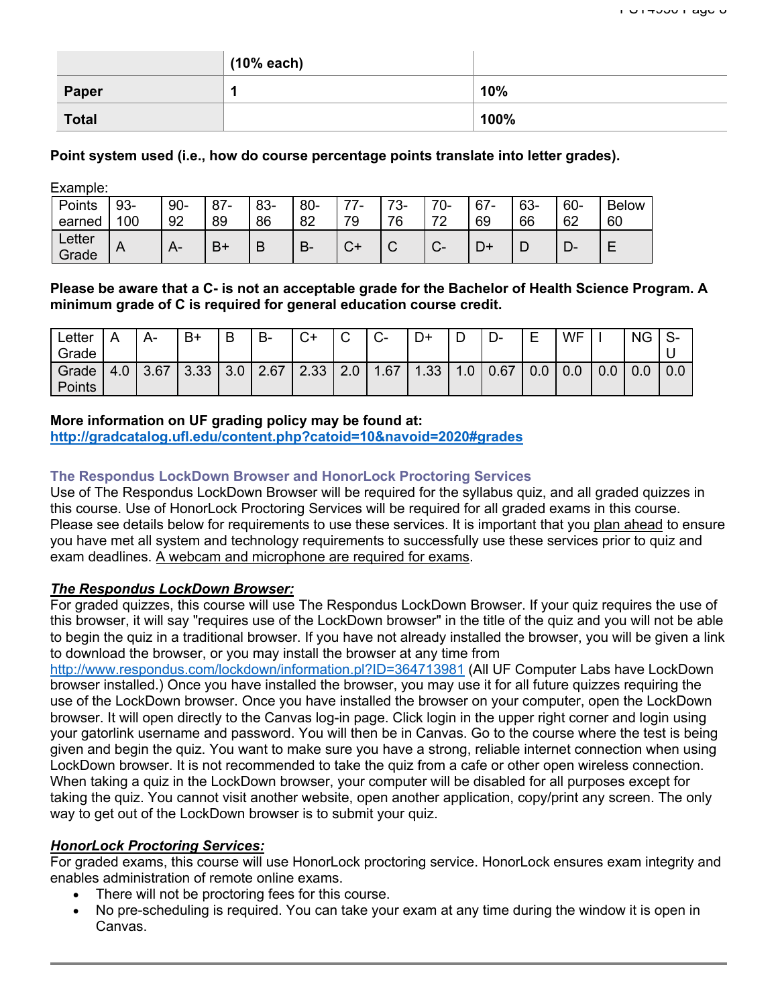|              | (10% each) |      |
|--------------|------------|------|
| Paper        |            | 10%  |
| <b>Total</b> |            | 100% |

### **Point system used (i.e., how do course percentage points translate into letter grades).**

Example:

|                 |     |        |          |     |        | 77                 | 70              | 70                                 | 67 |     |        |              |
|-----------------|-----|--------|----------|-----|--------|--------------------|-----------------|------------------------------------|----|-----|--------|--------------|
| Points          | 93- | $90 -$ | 87       | 83- | $80 -$ |                    |                 | υ-                                 |    | 63- | $60 -$ | <b>Below</b> |
| earned          | 100 | 92     | 89       | 86  | 82     | 79                 | 76              | 70                                 | 69 | 66  | 62     | 60           |
| Letter<br>Grade | A   |        | D.<br>D. | D   | B-     | $\sim$ $\sim$<br>◡ | $\sqrt{ }$<br>৺ | $\sim$<br>$\overline{\mathcal{L}}$ | D+ | D   | ∼      | -            |

Please be aware that a C- is not an acceptable grade for the Bachelor of Health Science Program. A **minimum grade of C is required for general education course credit.**

| ∟etter |     | A-   | B+   | B   | B-   | C+   | ⌒<br>◡              | ⌒<br><b>ے</b> ۔ | D+  | ▃  | -ت   | ⊢<br>- | WF  |     | <b>NG</b> | $\sim$<br>၁- |
|--------|-----|------|------|-----|------|------|---------------------|-----------------|-----|----|------|--------|-----|-----|-----------|--------------|
| Grade  |     |      |      |     |      |      |                     |                 |     |    |      |        |     |     |           |              |
| Grade  | 4.0 | 3.67 | 3.33 | 3.0 | 2.67 | 2.33 | $\Omega$<br>$2.0\,$ | .67             | .33 | .0 | 0.67 | 0.0    | 0.0 | 0.0 | 0.0       | 0.0          |
| Points |     |      |      |     |      |      |                     |                 |     |    |      |        |     |     |           |              |

#### **More information on UF grading policy may be found at:**

**http://gradcatalog.ufl.edu/content.php?catoid=10&navoid=2020#grades**

## **The Respondus LockDown Browser and HonorLock Proctoring Services**

Use of The Respondus LockDown Browser will be required for the syllabus quiz, and all graded quizzes in this course. Use of HonorLock Proctoring Services will be required for all graded exams in this course. Please see details below for requirements to use these services. It is important that you plan ahead to ensure you have met all system and technology requirements to successfully use these services prior to quiz and exam deadlines. A webcam and microphone are required for exams.

## *The Respondus LockDown Browser:*

For graded quizzes, this course will use The Respondus LockDown Browser. If your quiz requires the use of this browser, it will say "requires use of the LockDown browser" in the title of the quiz and you will not be able to begin the quiz in a traditional browser. If you have not already installed the browser, you will be given a link to download the browser, or you may install the browser at any time from

http://www.respondus.com/lockdown/information.pl?ID=364713981 (All UF Computer Labs have LockDown browser installed.) Once you have installed the browser, you may use it for all future quizzes requiring the use of the LockDown browser. Once you have installed the browser on your computer, open the LockDown browser. It will open directly to the Canvas log-in page. Click login in the upper right corner and login using your gatorlink username and password. You will then be in Canvas. Go to the course where the test is being given and begin the quiz. You want to make sure you have a strong, reliable internet connection when using LockDown browser. It is not recommended to take the quiz from a cafe or other open wireless connection. When taking a quiz in the LockDown browser, your computer will be disabled for all purposes except for taking the quiz. You cannot visit another website, open another application, copy/print any screen. The only way to get out of the LockDown browser is to submit your quiz.

#### *HonorLock Proctoring Services:*

For graded exams, this course will use HonorLock proctoring service. HonorLock ensures exam integrity and enables administration of remote online exams.

- There will not be proctoring fees for this course.
- No pre-scheduling is required. You can take your exam at any time during the window it is open in Canvas.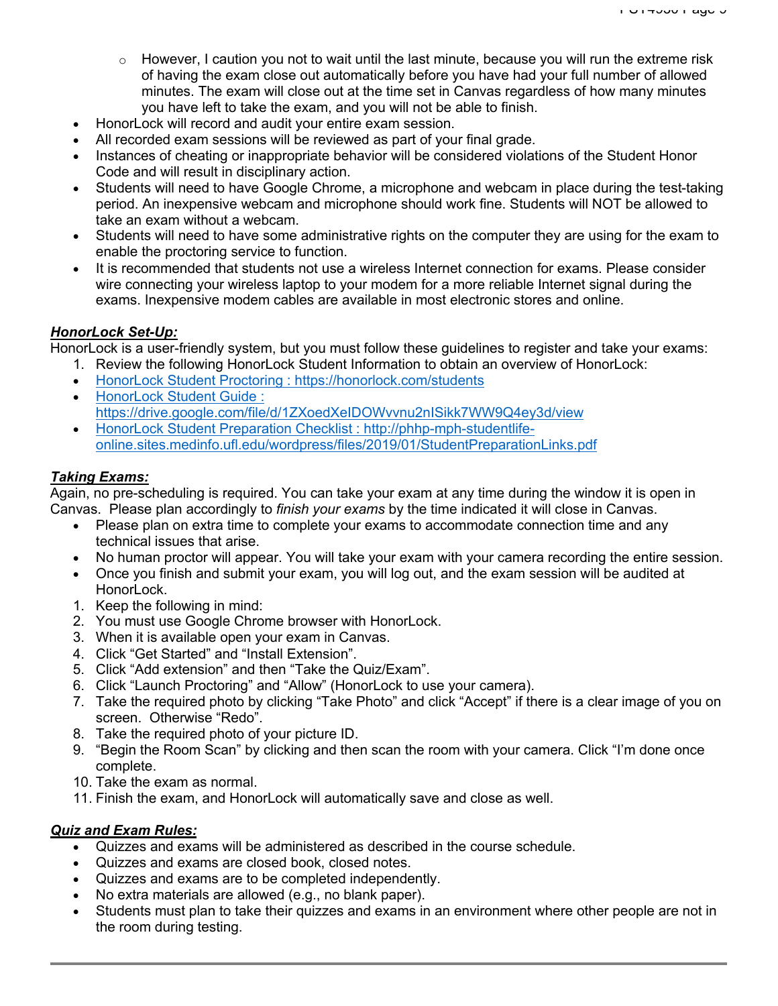- o However, I caution you not to wait until the last minute, because you will run the extreme risk of having the exam close out automatically before you have had your full number of allowed minutes. The exam will close out at the time set in Canvas regardless of how many minutes you have left to take the exam, and you will not be able to finish.
- HonorLock will record and audit your entire exam session.
- All recorded exam sessions will be reviewed as part of your final grade.
- Instances of cheating or inappropriate behavior will be considered violations of the Student Honor Code and will result in disciplinary action.
- Students will need to have Google Chrome, a microphone and webcam in place during the test-taking period. An inexpensive webcam and microphone should work fine. Students will NOT be allowed to take an exam without a webcam.
- Students will need to have some administrative rights on the computer they are using for the exam to enable the proctoring service to function.
- It is recommended that students not use a wireless Internet connection for exams. Please consider wire connecting your wireless laptop to your modem for a more reliable Internet signal during the exams. Inexpensive modem cables are available in most electronic stores and online.

## *HonorLock Set-Up:*

HonorLock is a user-friendly system, but you must follow these guidelines to register and take your exams:

- 1. Review the following HonorLock Student Information to obtain an overview of HonorLock:
- HonorLock Student Proctoring : https://honorlock.com/students
- HonorLock Student Guide : https://drive.google.com/file/d/1ZXoedXeIDOWvvnu2nISikk7WW9Q4ey3d/view
- HonorLock Student Preparation Checklist : http://phhp-mph-studentlifeonline.sites.medinfo.ufl.edu/wordpress/files/2019/01/StudentPreparationLinks.pdf

# *Taking Exams:*

Again, no pre-scheduling is required. You can take your exam at any time during the window it is open in Canvas. Please plan accordingly to *finish your exams* by the time indicated it will close in Canvas.

- Please plan on extra time to complete your exams to accommodate connection time and any technical issues that arise.
- No human proctor will appear. You will take your exam with your camera recording the entire session.
- Once you finish and submit your exam, you will log out, and the exam session will be audited at HonorLock.
- 1. Keep the following in mind:
- 2. You must use Google Chrome browser with HonorLock.
- 3. When it is available open your exam in Canvas.
- 4. Click "Get Started" and "Install Extension".
- 5. Click "Add extension" and then "Take the Quiz/Exam".
- 6. Click "Launch Proctoring" and "Allow" (HonorLock to use your camera).
- 7. Take the required photo by clicking "Take Photo" and click "Accept" if there is a clear image of you on screen. Otherwise "Redo".
- 8. Take the required photo of your picture ID.
- 9. "Begin the Room Scan" by clicking and then scan the room with your camera. Click "I'm done once complete.
- 10. Take the exam as normal.
- 11. Finish the exam, and HonorLock will automatically save and close as well.

# *Quiz and Exam Rules:*

- Quizzes and exams will be administered as described in the course schedule.
- Quizzes and exams are closed book, closed notes.
- Quizzes and exams are to be completed independently.
- No extra materials are allowed (e.g., no blank paper).
- Students must plan to take their quizzes and exams in an environment where other people are not in the room during testing.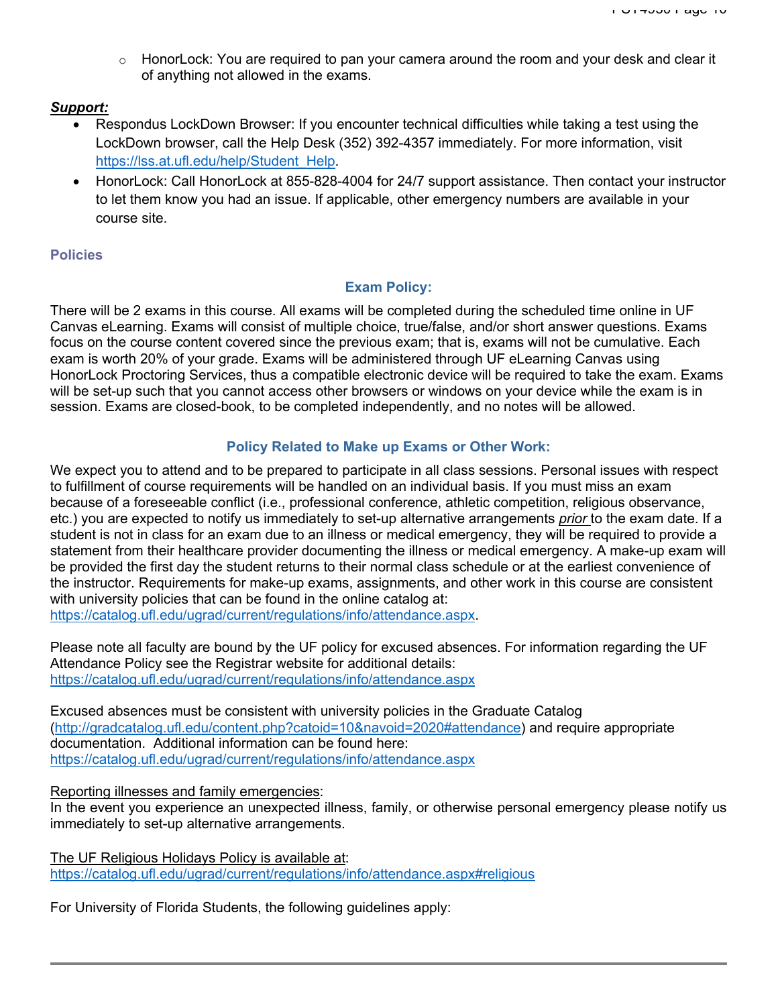$\circ$  HonorLock: You are required to pan your camera around the room and your desk and clear it of anything not allowed in the exams.

### *Support:*

- Respondus LockDown Browser: If you encounter technical difficulties while taking a test using the LockDown browser, call the Help Desk (352) 392-4357 immediately. For more information, visit https://lss.at.ufl.edu/help/Student\_Help.
- HonorLock: Call HonorLock at 855-828-4004 for 24/7 support assistance. Then contact your instructor to let them know you had an issue. If applicable, other emergency numbers are available in your course site.

## **Policies**

## **Exam Policy:**

There will be 2 exams in this course. All exams will be completed during the scheduled time online in UF Canvas eLearning. Exams will consist of multiple choice, true/false, and/or short answer questions. Exams focus on the course content covered since the previous exam; that is, exams will not be cumulative. Each exam is worth 20% of your grade. Exams will be administered through UF eLearning Canvas using HonorLock Proctoring Services, thus a compatible electronic device will be required to take the exam. Exams will be set-up such that you cannot access other browsers or windows on your device while the exam is in session. Exams are closed-book, to be completed independently, and no notes will be allowed.

## **Policy Related to Make up Exams or Other Work:**

We expect you to attend and to be prepared to participate in all class sessions. Personal issues with respect to fulfillment of course requirements will be handled on an individual basis. If you must miss an exam because of a foreseeable conflict (i.e., professional conference, athletic competition, religious observance, etc.) you are expected to notify us immediately to set-up alternative arrangements *prior* to the exam date. If a student is not in class for an exam due to an illness or medical emergency, they will be required to provide a statement from their healthcare provider documenting the illness or medical emergency. A make-up exam will be provided the first day the student returns to their normal class schedule or at the earliest convenience of the instructor. Requirements for make-up exams, assignments, and other work in this course are consistent with university policies that can be found in the online catalog at:

https://catalog.ufl.edu/ugrad/current/regulations/info/attendance.aspx.

Please note all faculty are bound by the UF policy for excused absences. For information regarding the UF Attendance Policy see the Registrar website for additional details: https://catalog.ufl.edu/ugrad/current/regulations/info/attendance.aspx

Excused absences must be consistent with university policies in the Graduate Catalog (http://gradcatalog.ufl.edu/content.php?catoid=10&navoid=2020#attendance) and require appropriate documentation. Additional information can be found here: https://catalog.ufl.edu/ugrad/current/regulations/info/attendance.aspx

## Reporting illnesses and family emergencies:

In the event you experience an unexpected illness, family, or otherwise personal emergency please notify us immediately to set-up alternative arrangements.

The UF Religious Holidays Policy is available at: https://catalog.ufl.edu/ugrad/current/regulations/info/attendance.aspx#religious

For University of Florida Students, the following guidelines apply: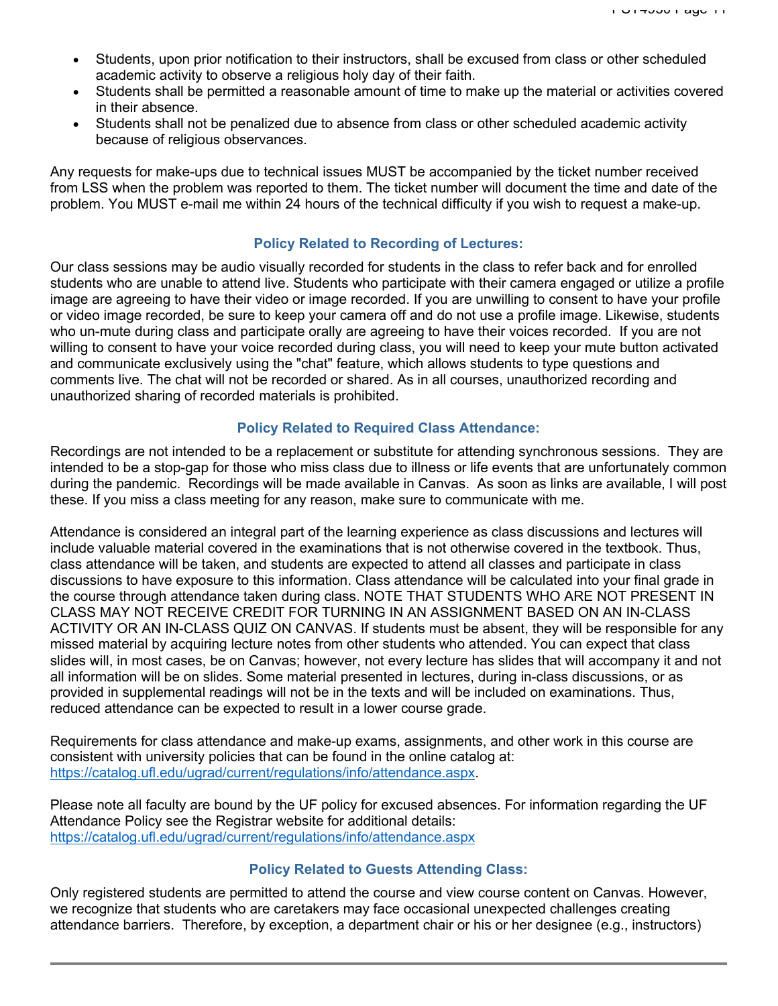- Students, upon prior notification to their instructors, shall be excused from class or other scheduled academic activity to observe a religious holy day of their faith.
- Students shall be permitted a reasonable amount of time to make up the material or activities covered in their absence.
- Students shall not be penalized due to absence from class or other scheduled academic activity because of religious observances.

Any requests for make-ups due to technical issues MUST be accompanied by the ticket number received from LSS when the problem was reported to them. The ticket number will document the time and date of the problem. You MUST e-mail me within 24 hours of the technical difficulty if you wish to request a make-up.

#### **Policy Related to Recording of Lectures:**

Our class sessions may be audio visually recorded for students in the class to refer back and for enrolled students who are unable to attend live. Students who participate with their camera engaged or utilize a profile image are agreeing to have their video or image recorded. If you are unwilling to consent to have your profile or video image recorded, be sure to keep your camera off and do not use a profile image. Likewise, students who un-mute during class and participate orally are agreeing to have their voices recorded. If you are not willing to consent to have your voice recorded during class, you will need to keep your mute button activated and communicate exclusively using the "chat" feature, which allows students to type questions and comments live. The chat will not be recorded or shared. As in all courses, unauthorized recording and unauthorized sharing of recorded materials is prohibited.

### **Policy Related to Required Class Attendance:**

Recordings are not intended to be a replacement or substitute for attending synchronous sessions. They are intended to be a stop-gap for those who miss class due to illness or life events that are unfortunately common during the pandemic. Recordings will be made available in Canvas. As soon as links are available, I will post these. If you miss a class meeting for any reason, make sure to communicate with me.

Attendance is considered an integral part of the learning experience as class discussions and lectures will include valuable material covered in the examinations that is not otherwise covered in the textbook. Thus, class attendance will be taken, and students are expected to attend all classes and participate in class discussions to have exposure to this information. Class attendance will be calculated into your final grade in the course through attendance taken during class. NOTE THAT STUDENTS WHO ARE NOT PRESENT IN CLASS MAY NOT RECEIVE CREDIT FOR TURNING IN AN ASSIGNMENT BASED ON AN IN-CLASS ACTIVITY OR AN IN-CLASS QUIZ ON CANVAS. If students must be absent, they will be responsible for any missed material by acquiring lecture notes from other students who attended. You can expect that class slides will, in most cases, be on Canvas; however, not every lecture has slides that will accompany it and not all information will be on slides. Some material presented in lectures, during in-class discussions, or as provided in supplemental readings will not be in the texts and will be included on examinations. Thus, reduced attendance can be expected to result in a lower course grade.

Requirements for class attendance and make-up exams, assignments, and other work in this course are consistent with university policies that can be found in the online catalog at: https://catalog.ufl.edu/ugrad/current/regulations/info/attendance.aspx.

Please note all faculty are bound by the UF policy for excused absences. For information regarding the UF Attendance Policy see the Registrar website for additional details: https://catalog.ufl.edu/ugrad/current/regulations/info/attendance.aspx

### **Policy Related to Guests Attending Class:**

Only registered students are permitted to attend the course and view course content on Canvas. However, we recognize that students who are caretakers may face occasional unexpected challenges creating attendance barriers. Therefore, by exception, a department chair or his or her designee (e.g., instructors)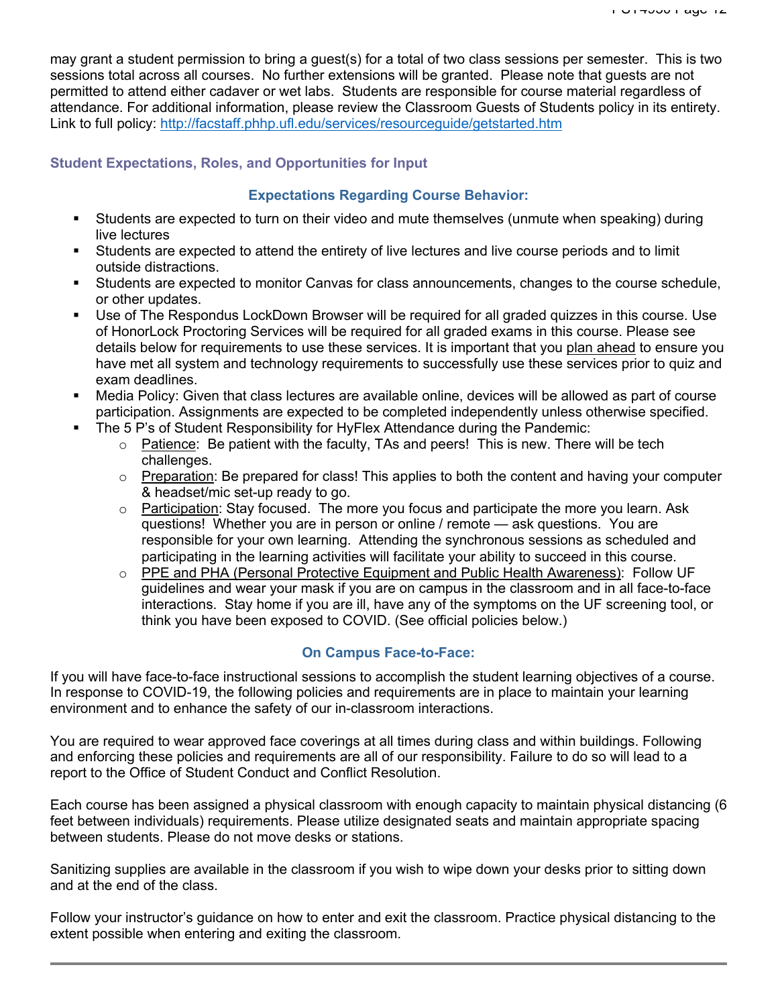may grant a student permission to bring a guest(s) for a total of two class sessions per semester. This is two sessions total across all courses. No further extensions will be granted. Please note that guests are not permitted to attend either cadaver or wet labs. Students are responsible for course material regardless of attendance. For additional information, please review the Classroom Guests of Students policy in its entirety. Link to full policy: http://facstaff.phhp.ufl.edu/services/resourceguide/getstarted.htm

### **Student Expectations, Roles, and Opportunities for Input**

#### **Expectations Regarding Course Behavior:**

- § Students are expected to turn on their video and mute themselves (unmute when speaking) during live lectures
- § Students are expected to attend the entirety of live lectures and live course periods and to limit outside distractions.
- § Students are expected to monitor Canvas for class announcements, changes to the course schedule, or other updates.
- Use of The Respondus LockDown Browser will be required for all graded quizzes in this course. Use of HonorLock Proctoring Services will be required for all graded exams in this course. Please see details below for requirements to use these services. It is important that you plan ahead to ensure you have met all system and technology requirements to successfully use these services prior to quiz and exam deadlines.
- § Media Policy: Given that class lectures are available online, devices will be allowed as part of course participation. Assignments are expected to be completed independently unless otherwise specified.
- § The 5 P's of Student Responsibility for HyFlex Attendance during the Pandemic:
	- $\circ$  Patience: Be patient with the faculty, TAs and peers! This is new. There will be tech challenges.
	- o Preparation: Be prepared for class! This applies to both the content and having your computer & headset/mic set-up ready to go.
	- $\circ$  Participation: Stay focused. The more you focus and participate the more you learn. Ask questions! Whether you are in person or online / remote — ask questions. You are responsible for your own learning. Attending the synchronous sessions as scheduled and participating in the learning activities will facilitate your ability to succeed in this course.
	- o PPE and PHA (Personal Protective Equipment and Public Health Awareness): Follow UF guidelines and wear your mask if you are on campus in the classroom and in all face-to-face interactions. Stay home if you are ill, have any of the symptoms on the UF screening tool, or think you have been exposed to COVID. (See official policies below.)

## **On Campus Face-to-Face:**

If you will have face-to-face instructional sessions to accomplish the student learning objectives of a course. In response to COVID-19, the following policies and requirements are in place to maintain your learning environment and to enhance the safety of our in-classroom interactions.

You are required to wear approved face coverings at all times during class and within buildings. Following and enforcing these policies and requirements are all of our responsibility. Failure to do so will lead to a report to the Office of Student Conduct and Conflict Resolution.

Each course has been assigned a physical classroom with enough capacity to maintain physical distancing (6 feet between individuals) requirements. Please utilize designated seats and maintain appropriate spacing between students. Please do not move desks or stations.

Sanitizing supplies are available in the classroom if you wish to wipe down your desks prior to sitting down and at the end of the class.

Follow your instructor's guidance on how to enter and exit the classroom. Practice physical distancing to the extent possible when entering and exiting the classroom.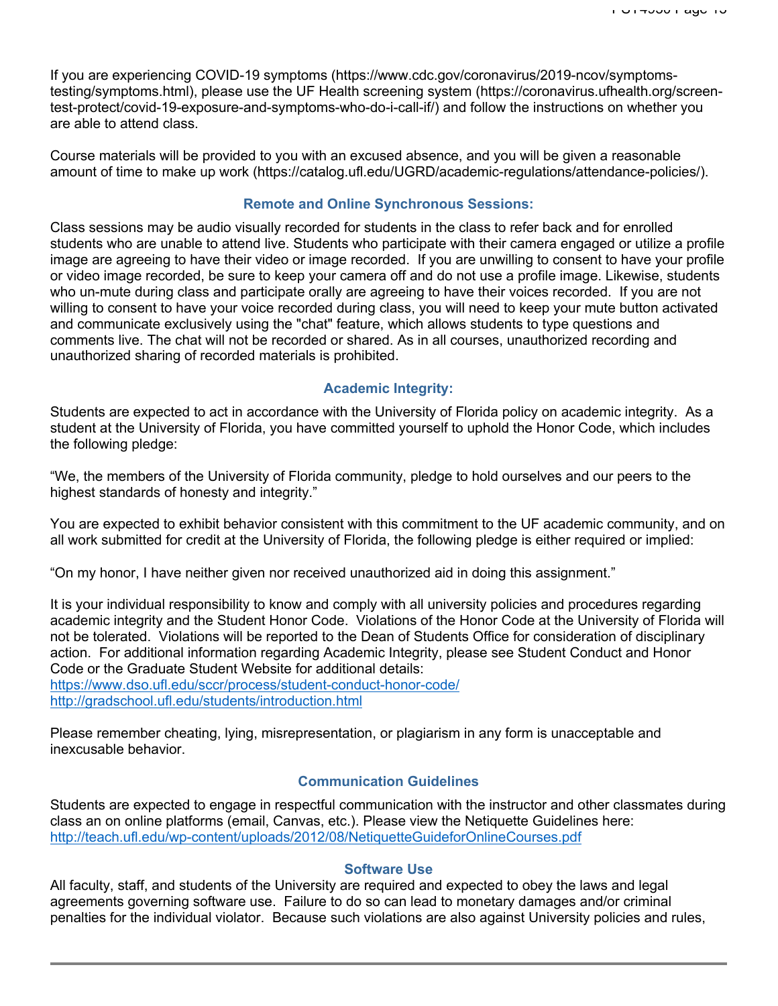If you are experiencing COVID-19 symptoms (https://www.cdc.gov/coronavirus/2019-ncov/symptomstesting/symptoms.html), please use the UF Health screening system (https://coronavirus.ufhealth.org/screentest-protect/covid-19-exposure-and-symptoms-who-do-i-call-if/) and follow the instructions on whether you are able to attend class.

Course materials will be provided to you with an excused absence, and you will be given a reasonable amount of time to make up work (https://catalog.ufl.edu/UGRD/academic-regulations/attendance-policies/).

#### **Remote and Online Synchronous Sessions:**

Class sessions may be audio visually recorded for students in the class to refer back and for enrolled students who are unable to attend live. Students who participate with their camera engaged or utilize a profile image are agreeing to have their video or image recorded. If you are unwilling to consent to have your profile or video image recorded, be sure to keep your camera off and do not use a profile image. Likewise, students who un-mute during class and participate orally are agreeing to have their voices recorded. If you are not willing to consent to have your voice recorded during class, you will need to keep your mute button activated and communicate exclusively using the "chat" feature, which allows students to type questions and comments live. The chat will not be recorded or shared. As in all courses, unauthorized recording and unauthorized sharing of recorded materials is prohibited.

#### **Academic Integrity:**

Students are expected to act in accordance with the University of Florida policy on academic integrity. As a student at the University of Florida, you have committed yourself to uphold the Honor Code, which includes the following pledge:

"We, the members of the University of Florida community, pledge to hold ourselves and our peers to the highest standards of honesty and integrity."

You are expected to exhibit behavior consistent with this commitment to the UF academic community, and on all work submitted for credit at the University of Florida, the following pledge is either required or implied:

"On my honor, I have neither given nor received unauthorized aid in doing this assignment."

It is your individual responsibility to know and comply with all university policies and procedures regarding academic integrity and the Student Honor Code. Violations of the Honor Code at the University of Florida will not be tolerated. Violations will be reported to the Dean of Students Office for consideration of disciplinary action. For additional information regarding Academic Integrity, please see Student Conduct and Honor Code or the Graduate Student Website for additional details: https://www.dso.ufl.edu/sccr/process/student-conduct-honor-code/

http://gradschool.ufl.edu/students/introduction.html

Please remember cheating, lying, misrepresentation, or plagiarism in any form is unacceptable and inexcusable behavior.

#### **Communication Guidelines**

Students are expected to engage in respectful communication with the instructor and other classmates during class an on online platforms (email, Canvas, etc.). Please view the Netiquette Guidelines here: http://teach.ufl.edu/wp-content/uploads/2012/08/NetiquetteGuideforOnlineCourses.pdf

#### **Software Use**

All faculty, staff, and students of the University are required and expected to obey the laws and legal agreements governing software use. Failure to do so can lead to monetary damages and/or criminal penalties for the individual violator. Because such violations are also against University policies and rules,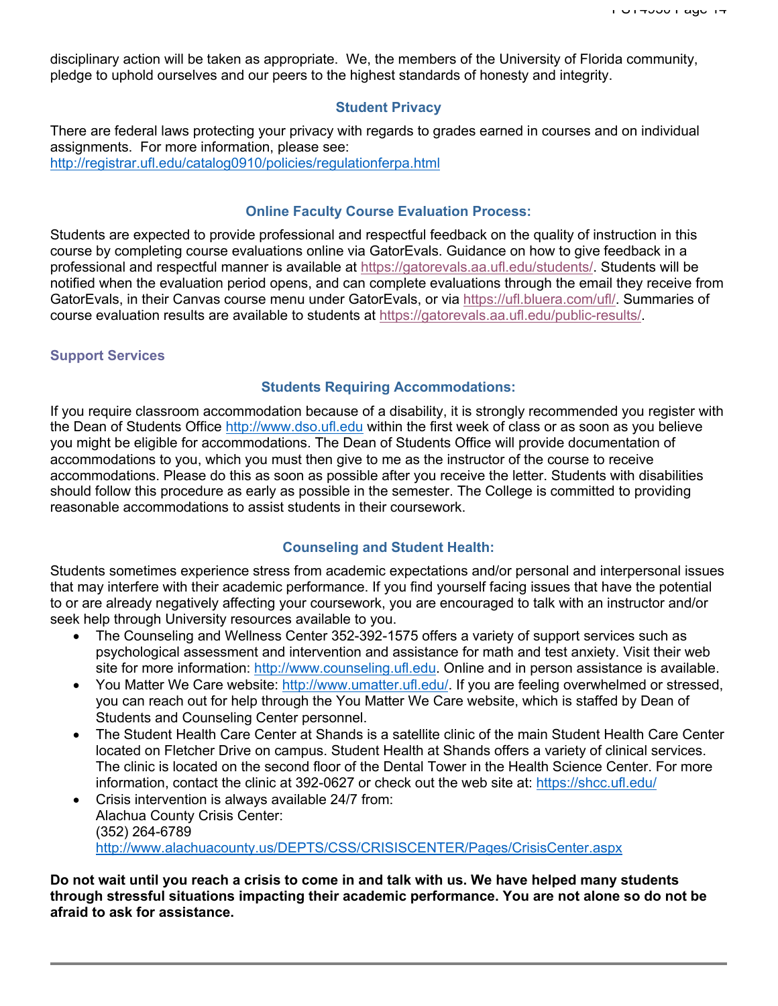disciplinary action will be taken as appropriate. We, the members of the University of Florida community, pledge to uphold ourselves and our peers to the highest standards of honesty and integrity.

#### **Student Privacy**

There are federal laws protecting your privacy with regards to grades earned in courses and on individual assignments. For more information, please see: http://registrar.ufl.edu/catalog0910/policies/regulationferpa.html

### **Online Faculty Course Evaluation Process:**

Students are expected to provide professional and respectful feedback on the quality of instruction in this course by completing course evaluations online via GatorEvals. Guidance on how to give feedback in a professional and respectful manner is available at https://gatorevals.aa.ufl.edu/students/. Students will be notified when the evaluation period opens, and can complete evaluations through the email they receive from GatorEvals, in their Canvas course menu under GatorEvals, or via https://ufl.bluera.com/ufl/. Summaries of course evaluation results are available to students at https://gatorevals.aa.ufl.edu/public-results/.

#### **Support Services**

### **Students Requiring Accommodations:**

If you require classroom accommodation because of a disability, it is strongly recommended you register with the Dean of Students Office http://www.dso.ufl.edu within the first week of class or as soon as you believe you might be eligible for accommodations. The Dean of Students Office will provide documentation of accommodations to you, which you must then give to me as the instructor of the course to receive accommodations. Please do this as soon as possible after you receive the letter. Students with disabilities should follow this procedure as early as possible in the semester. The College is committed to providing reasonable accommodations to assist students in their coursework.

## **Counseling and Student Health:**

Students sometimes experience stress from academic expectations and/or personal and interpersonal issues that may interfere with their academic performance. If you find yourself facing issues that have the potential to or are already negatively affecting your coursework, you are encouraged to talk with an instructor and/or seek help through University resources available to you.

- The Counseling and Wellness Center 352-392-1575 offers a variety of support services such as psychological assessment and intervention and assistance for math and test anxiety. Visit their web site for more information: http://www.counseling.ufl.edu. Online and in person assistance is available.
- You Matter We Care website: http://www.umatter.ufl.edu/. If you are feeling overwhelmed or stressed, you can reach out for help through the You Matter We Care website, which is staffed by Dean of Students and Counseling Center personnel.
- The Student Health Care Center at Shands is a satellite clinic of the main Student Health Care Center located on Fletcher Drive on campus. Student Health at Shands offers a variety of clinical services. The clinic is located on the second floor of the Dental Tower in the Health Science Center. For more information, contact the clinic at 392-0627 or check out the web site at: https://shcc.ufl.edu/
- Crisis intervention is always available 24/7 from: Alachua County Crisis Center: (352) 264-6789 http://www.alachuacounty.us/DEPTS/CSS/CRISISCENTER/Pages/CrisisCenter.aspx

**Do not wait until you reach a crisis to come in and talk with us. We have helped many students through stressful situations impacting their academic performance. You are not alone so do not be afraid to ask for assistance.**